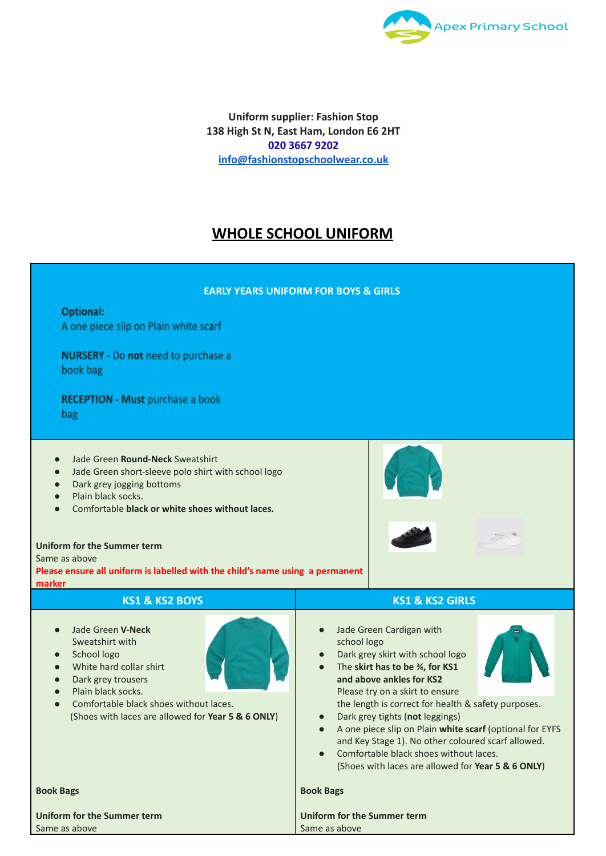

**Uniform supplier: Fashion Stop 138 High St N, East Ham, London E6 2HT 020 [3667](https://www.google.com/search?rlz=1C1CHBF_en-GBGB746GB746&q=fashion+stop+phone&ludocid=5359808660851587010&sa=X&ved=2ahUKEwjQgamthc7vAhWORxUIHdwnCvsQ6BMwF3oECCAQAg&biw=1920&bih=937#) 9202 [info@fashionstopschoolwear.co.uk](mailto:info@fashionstopschoolwear.co.uk)**

## **WHOLE SCHOOL UNIFORM**

| <b>EARLY YEARS UNIFORM FOR BOYS &amp; GIRLS</b>                                                                                                                                                                                                                                                                                                                                                           |                                                                                                                                                                                                                                                                                                                                                                                                                                                                                                                                   |
|-----------------------------------------------------------------------------------------------------------------------------------------------------------------------------------------------------------------------------------------------------------------------------------------------------------------------------------------------------------------------------------------------------------|-----------------------------------------------------------------------------------------------------------------------------------------------------------------------------------------------------------------------------------------------------------------------------------------------------------------------------------------------------------------------------------------------------------------------------------------------------------------------------------------------------------------------------------|
| Optional:<br>A one piece slip on Plain white scarf                                                                                                                                                                                                                                                                                                                                                        |                                                                                                                                                                                                                                                                                                                                                                                                                                                                                                                                   |
| <b>NURSERY</b> - Do not need to purchase a<br>book bag                                                                                                                                                                                                                                                                                                                                                    |                                                                                                                                                                                                                                                                                                                                                                                                                                                                                                                                   |
| <b>RECEPTION - Must purchase a book</b><br>bag                                                                                                                                                                                                                                                                                                                                                            |                                                                                                                                                                                                                                                                                                                                                                                                                                                                                                                                   |
| Jade Green Round-Neck Sweatshirt<br>$\bullet$<br>Jade Green short-sleeve polo shirt with school logo<br>$\bullet$<br>Dark grey jogging bottoms<br>$\bullet$<br>Plain black socks.<br>$\bullet$<br>Comfortable black or white shoes without laces.<br>$\bullet$<br>Uniform for the Summer term<br>Same as above<br>Please ensure all uniform is labelled with the child's name using a permanent<br>marker |                                                                                                                                                                                                                                                                                                                                                                                                                                                                                                                                   |
| <b>KS1 &amp; KS2 BOYS</b>                                                                                                                                                                                                                                                                                                                                                                                 | <b>KS1 &amp; KS2 GIRLS</b>                                                                                                                                                                                                                                                                                                                                                                                                                                                                                                        |
| Jade Green V-Neck<br>$\bullet$<br>Sweatshirt with<br>School logo<br>$\bullet$<br>White hard collar shirt<br>$\bullet$<br>Dark grey trousers<br>$\bullet$<br>Plain black socks.<br>$\bullet$<br>Comfortable black shoes without laces.<br>(Shoes with laces are allowed for Year 5 & 6 ONLY)                                                                                                               | Jade Green Cardigan with<br>$\bullet$<br>school logo<br>Dark grey skirt with school logo<br>$\bullet$<br>The skirt has to be 3/4, for KS1<br>$\bullet$<br>and above ankles for KS2<br>Please try on a skirt to ensure<br>the length is correct for health & safety purposes.<br>Dark grey tights (not leggings)<br>A one piece slip on Plain white scarf (optional for EYFS<br>and Key Stage 1). No other coloured scarf allowed.<br>Comfortable black shoes without laces.<br>(Shoes with laces are allowed for Year 5 & 6 ONLY) |
| <b>Book Bags</b>                                                                                                                                                                                                                                                                                                                                                                                          | <b>Book Bags</b>                                                                                                                                                                                                                                                                                                                                                                                                                                                                                                                  |
| Uniform for the Summer term                                                                                                                                                                                                                                                                                                                                                                               | Uniform for the Summer term                                                                                                                                                                                                                                                                                                                                                                                                                                                                                                       |
| Same as above                                                                                                                                                                                                                                                                                                                                                                                             | Same as above                                                                                                                                                                                                                                                                                                                                                                                                                                                                                                                     |